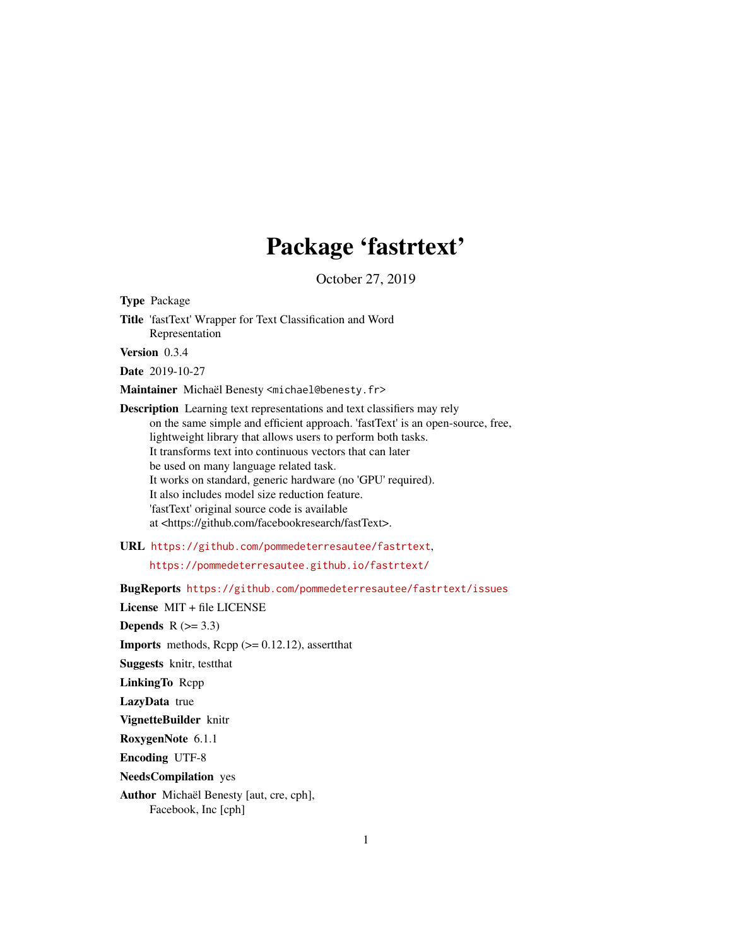# Package 'fastrtext'

October 27, 2019

<span id="page-0-0"></span>Type Package

Title 'fastText' Wrapper for Text Classification and Word Representation

Version 0.3.4

Date 2019-10-27

Maintainer Michaël Benesty <michael@benesty.fr>

Description Learning text representations and text classifiers may rely on the same simple and efficient approach. 'fastText' is an open-source, free, lightweight library that allows users to perform both tasks. It transforms text into continuous vectors that can later be used on many language related task. It works on standard, generic hardware (no 'GPU' required). It also includes model size reduction feature. 'fastText' original source code is available at <https://github.com/facebookresearch/fastText>.

URL <https://github.com/pommedeterresautee/fastrtext>,

<https://pommedeterresautee.github.io/fastrtext/>

BugReports <https://github.com/pommedeterresautee/fastrtext/issues>

License MIT + file LICENSE Depends  $R$  ( $>= 3.3$ ) **Imports** methods,  $\text{Rcpp}$  ( $> = 0.12.12$ ), assert that Suggests knitr, testthat LinkingTo Rcpp LazyData true VignetteBuilder knitr RoxygenNote 6.1.1 Encoding UTF-8 NeedsCompilation yes Author Michaël Benesty [aut, cre, cph], Facebook, Inc [cph]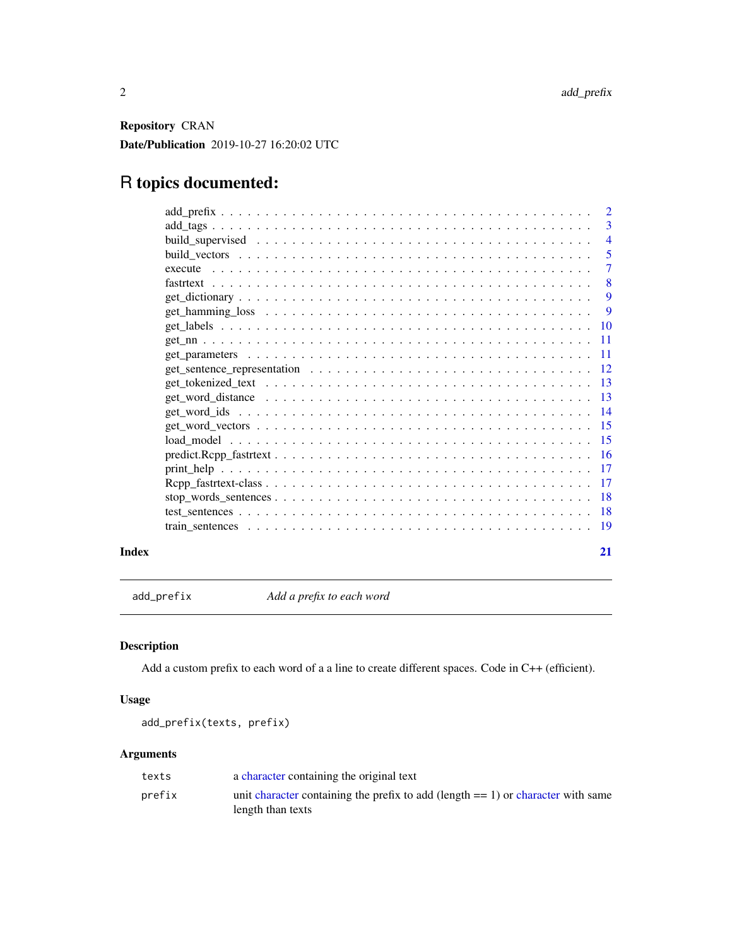<span id="page-1-0"></span>Repository CRAN Date/Publication 2019-10-27 16:20:02 UTC

## R topics documented:

|       |                                                                                                                                       | - 5                       |
|-------|---------------------------------------------------------------------------------------------------------------------------------------|---------------------------|
|       |                                                                                                                                       |                           |
|       |                                                                                                                                       | $\overline{\phantom{0}}8$ |
|       |                                                                                                                                       |                           |
|       |                                                                                                                                       |                           |
|       |                                                                                                                                       |                           |
|       |                                                                                                                                       |                           |
|       |                                                                                                                                       |                           |
|       | get_sentence_representation $\ldots \ldots \ldots \ldots \ldots \ldots \ldots \ldots \ldots \ldots \ldots \ldots 12$                  |                           |
|       |                                                                                                                                       |                           |
|       |                                                                                                                                       |                           |
|       |                                                                                                                                       |                           |
|       |                                                                                                                                       |                           |
|       |                                                                                                                                       |                           |
|       | $predict. Rep_ fastttext \dots \dots \dots \dots \dots \dots \dots \dots \dots \dots \dots \dots \dots \dots \dots \dots \dots \dots$ |                           |
|       |                                                                                                                                       |                           |
|       |                                                                                                                                       |                           |
|       |                                                                                                                                       |                           |
|       |                                                                                                                                       |                           |
|       |                                                                                                                                       |                           |
| Index |                                                                                                                                       | 21                        |

add\_prefix *Add a prefix to each word*

#### Description

Add a custom prefix to each word of a a line to create different spaces. Code in C++ (efficient).

#### Usage

add\_prefix(texts, prefix)

#### Arguments

| texts  | a character containing the original text                                            |
|--------|-------------------------------------------------------------------------------------|
| prefix | unit character containing the prefix to add (length $== 1$ ) or character with same |
|        | length than texts                                                                   |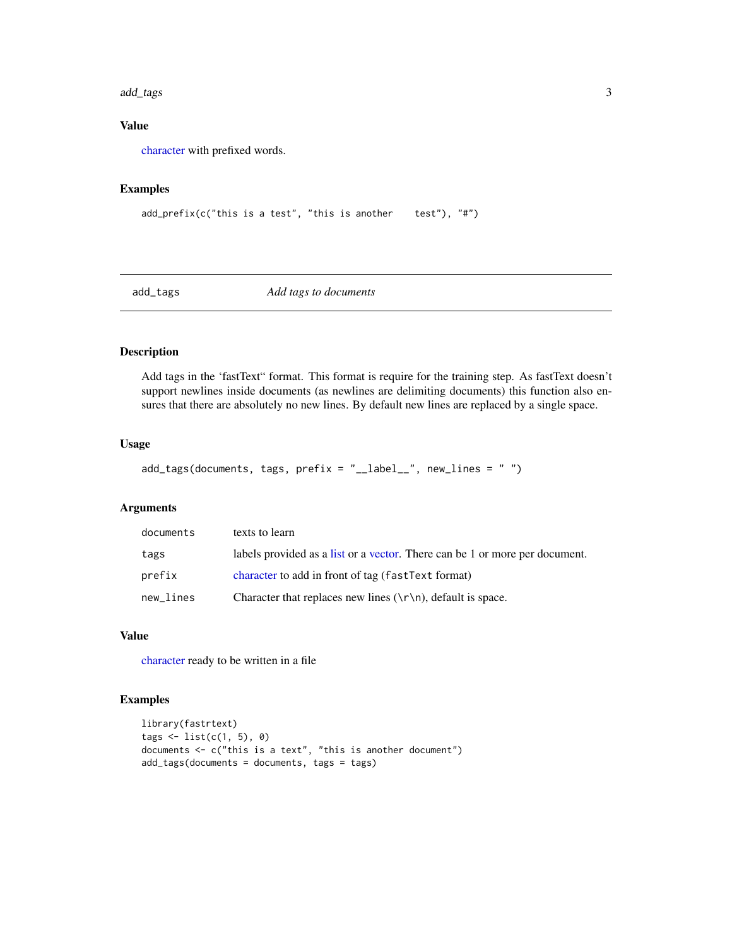#### <span id="page-2-0"></span>add\_tags 3

#### Value

[character](#page-0-0) with prefixed words.

#### Examples

```
add\_prefix(c("this is a test", "this is another test"), "#")
```
add\_tags *Add tags to documents*

#### Description

Add tags in the 'fastText" format. This format is require for the training step. As fastText doesn't support newlines inside documents (as newlines are delimiting documents) this function also ensures that there are absolutely no new lines. By default new lines are replaced by a single space.

#### Usage

```
add\_tags(documents, tags, prefix = "__label__", new_lines = " "
```
#### Arguments

| documents | texts to learn                                                               |
|-----------|------------------------------------------------------------------------------|
| tags      | labels provided as a list or a vector. There can be 1 or more per document.  |
| prefix    | character to add in front of tag (fastText format)                           |
| new_lines | Character that replaces new lines $(\n\cdot \n\cdot \n)$ , default is space. |

#### Value

[character](#page-0-0) ready to be written in a file

```
library(fastrtext)
tags < - list(c(1, 5), 0)documents <- c("this is a text", "this is another document")
add_tags(documents = documents, tags = tags)
```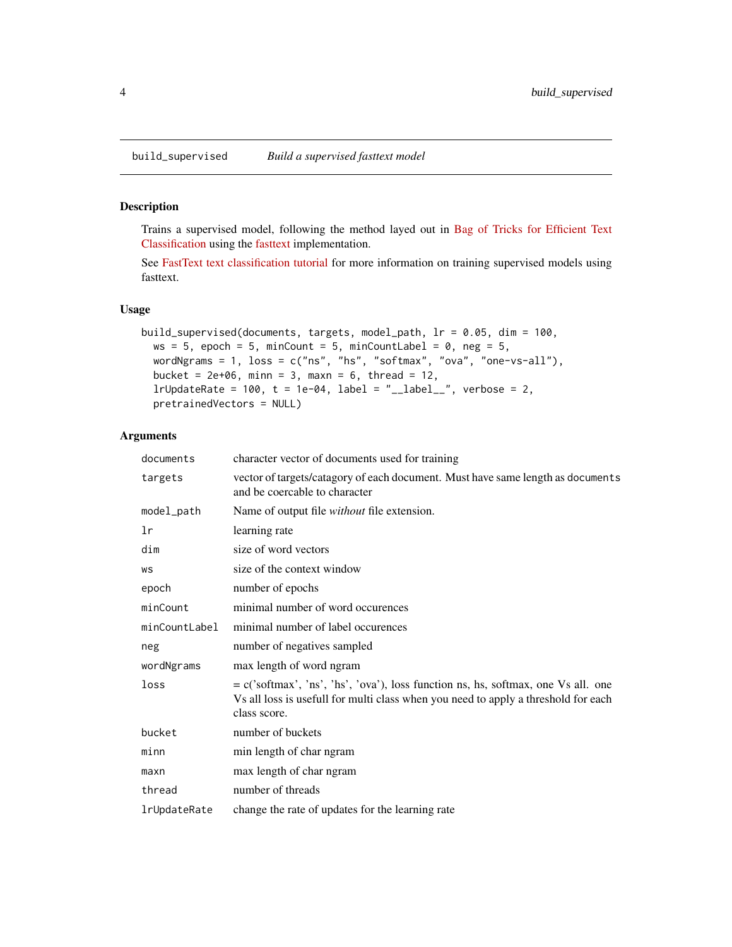<span id="page-3-0"></span>

Trains a supervised model, following the method layed out in [Bag of Tricks for Efficient Text](https://arxiv.org/abs/1607.01759) [Classification](https://arxiv.org/abs/1607.01759) using the [fasttext](https://fasttext.cc/) implementation.

See [FastText text classification tutorial](https://fasttext.cc/docs/en/supervised-tutorial.html) for more information on training supervised models using fasttext.

#### Usage

```
build_supervised(documents, targets, model_path, lr = 0.05, dim = 100,
 ws = 5, epoch = 5, minCount = 5, minCountLabel = 0, neg = 5,
 wordNgrams = 1, loss = c("ns", "hs", "softmax", "ova", "one-vs-all"),
 bucket = 2e+06, minn = 3, maxn = 6, thread = 12,
  lrUpdateRate = 100, t = 1e-04, label = "__label__", verbose = 2,
 pretrainedVectors = NULL)
```
#### Arguments

| documents     | character vector of documents used for training                                                                                                                                           |
|---------------|-------------------------------------------------------------------------------------------------------------------------------------------------------------------------------------------|
| targets       | vector of targets/catagory of each document. Must have same length as documents<br>and be coercable to character                                                                          |
| model_path    | Name of output file without file extension.                                                                                                                                               |
| lr            | learning rate                                                                                                                                                                             |
| dim           | size of word vectors                                                                                                                                                                      |
| WS            | size of the context window                                                                                                                                                                |
| epoch         | number of epochs                                                                                                                                                                          |
| minCount      | minimal number of word occurences                                                                                                                                                         |
| minCountLabel | minimal number of label occurences                                                                                                                                                        |
| neg           | number of negatives sampled                                                                                                                                                               |
| wordNgrams    | max length of word ngram                                                                                                                                                                  |
| loss          | $= c('softmax', 'ns', 'hs', 'ova'),$ loss function ns, hs, softmax, one Vs all. one<br>Vs all loss is usefull for multi class when you need to apply a threshold for each<br>class score. |
| bucket        | number of buckets                                                                                                                                                                         |
| minn          | min length of char ngram                                                                                                                                                                  |
| maxn          | max length of char ngram                                                                                                                                                                  |
| thread        | number of threads                                                                                                                                                                         |
| lrUpdateRate  | change the rate of updates for the learning rate                                                                                                                                          |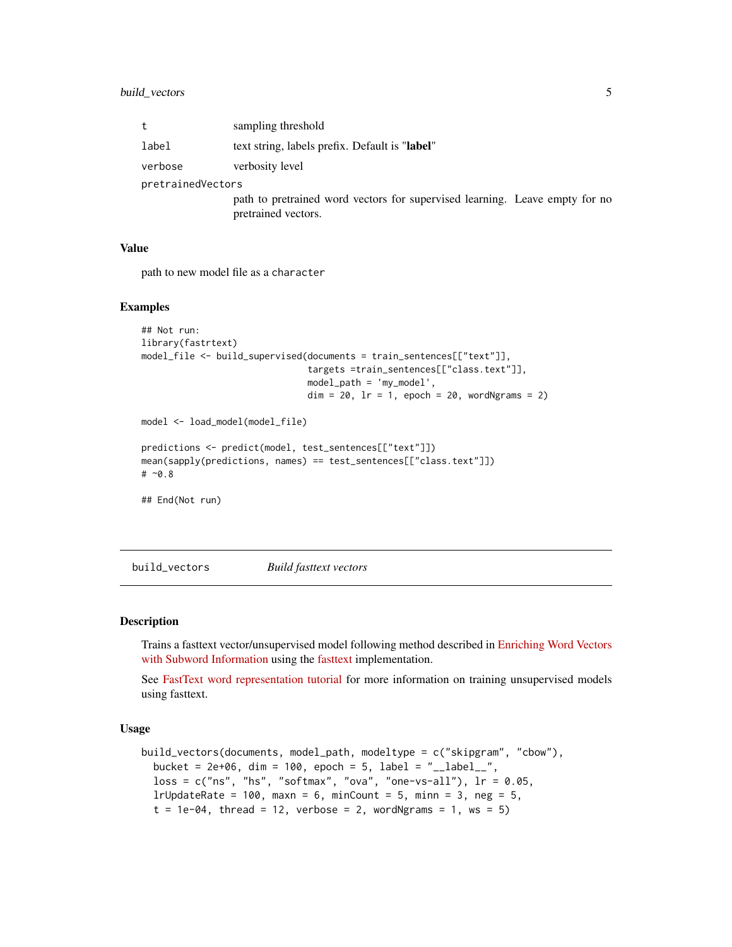<span id="page-4-0"></span>

| t                 | sampling threshold                                                                                 |  |
|-------------------|----------------------------------------------------------------------------------------------------|--|
| label             | text string, labels prefix. Default is "label"                                                     |  |
| verbose           | verbosity level                                                                                    |  |
| pretrainedVectors |                                                                                                    |  |
|                   | path to pretrained word vectors for supervised learning. Leave empty for no<br>pretrained vectors. |  |

#### Value

path to new model file as a character

#### Examples

```
## Not run:
library(fastrtext)
model_file <- build_supervised(documents = train_sentences[["text"]],
                               targets =train_sentences[["class.text"]],
                               model_path = 'my_model',
                               dim = 20, lr = 1, epoch = 20, wordNgrams = 2)
model <- load_model(model_file)
predictions <- predict(model, test_sentences[["text"]])
mean(sapply(predictions, names) == test_sentences[["class.text"]])
# ~0.8
## End(Not run)
```
build\_vectors *Build fasttext vectors*

#### **Description**

Trains a fasttext vector/unsupervised model following method described in [Enriching Word Vectors](https://arxiv.org/abs/1607.04606) [with Subword Information](https://arxiv.org/abs/1607.04606) using the [fasttext](https://fasttext.cc/) implementation.

See [FastText word representation tutorial](https://fasttext.cc/docs/en/unsupervised-tutorial.html) for more information on training unsupervised models using fasttext.

#### Usage

```
build_vectors(documents, model_path, modeltype = c("skipgram", "cbow"),
 bucket = 2e+06, dim = 100, epoch = 5, label = "__label__",
  loss = c("ns", "hs", "softmax", "ova", "one-vs-all"), lr = 0.05,lrUpdateRate = 100, maxn = 6, minCount = 5, minn = 3, neg = 5,
  t = 1e-04, thread = 12, verbose = 2, wordNgrams = 1, ws = 5)
```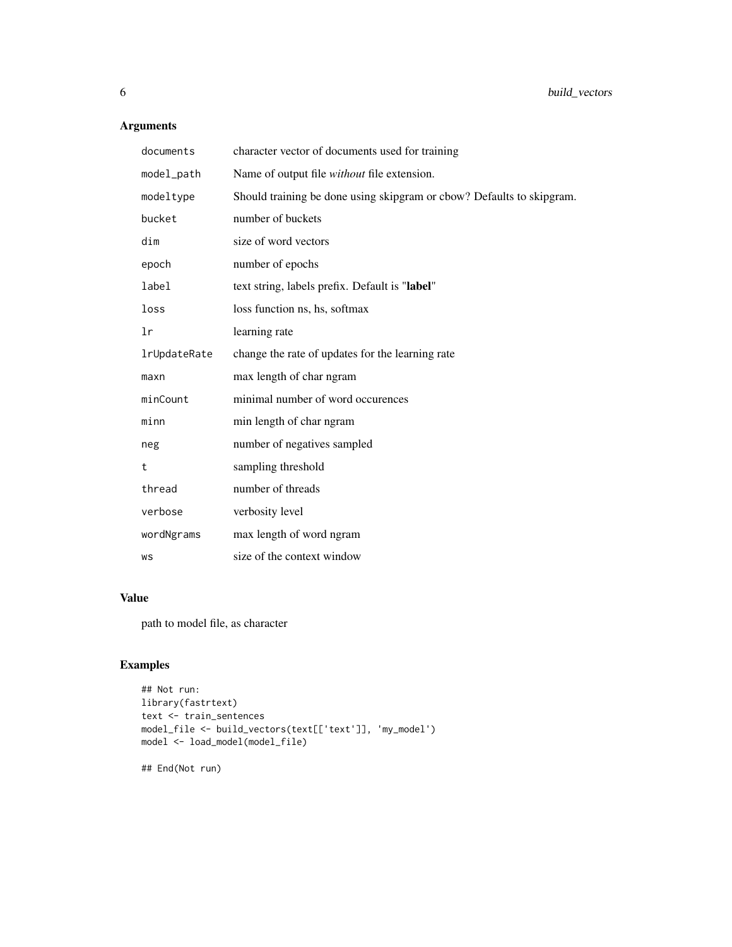#### Arguments

| documents        | character vector of documents used for training                       |
|------------------|-----------------------------------------------------------------------|
| model_path       | Name of output file without file extension.                           |
| modeltype        | Should training be done using skipgram or cbow? Defaults to skipgram. |
| bucket           | number of buckets                                                     |
| dim              | size of word vectors                                                  |
| epoch            | number of epochs                                                      |
| label            | text string, labels prefix. Default is "label"                        |
| loss             | loss function ns, hs, softmax                                         |
| lr               | learning rate                                                         |
| lrUpdateRate     | change the rate of updates for the learning rate                      |
| max <sub>n</sub> | max length of char ngram                                              |
| minCount         | minimal number of word occurences                                     |
| minn             | min length of char ngram                                              |
| neg              | number of negatives sampled                                           |
| t                | sampling threshold                                                    |
| thread           | number of threads                                                     |
| verbose          | verbosity level                                                       |
| wordNgrams       | max length of word ngram                                              |
| WS               | size of the context window                                            |

#### Value

path to model file, as character

### Examples

```
## Not run:
library(fastrtext)
text <- train_sentences
model_file <- build_vectors(text[['text']], 'my_model')
model <- load_model(model_file)
```
## End(Not run)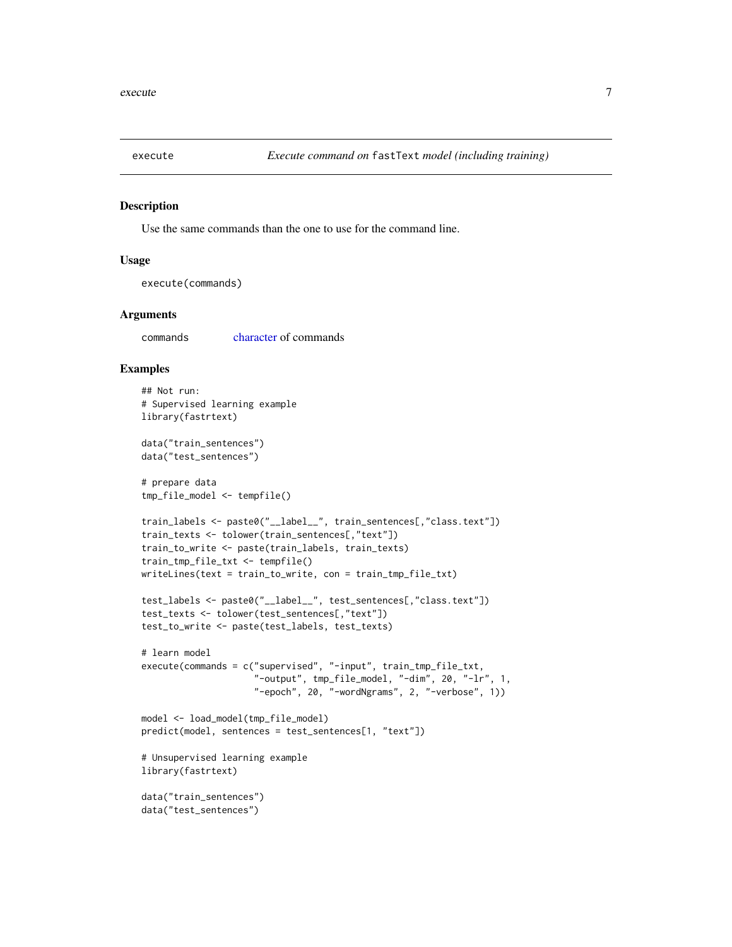<span id="page-6-1"></span><span id="page-6-0"></span>

Use the same commands than the one to use for the command line.

#### Usage

execute(commands)

#### Arguments

commands [character](#page-0-0) of commands

```
## Not run:
# Supervised learning example
library(fastrtext)
data("train_sentences")
data("test_sentences")
# prepare data
tmp_file_model <- tempfile()
train_labels <- paste0("__label__", train_sentences[,"class.text"])
train_texts <- tolower(train_sentences[,"text"])
train_to_write <- paste(train_labels, train_texts)
train_tmp_file_txt <- tempfile()
writeLines(text = train_to_write, con = train_tmp_file_txt)
test_labels <- paste0("__label__", test_sentences[,"class.text"])
test_texts <- tolower(test_sentences[,"text"])
test_to_write <- paste(test_labels, test_texts)
# learn model
execute(commands = c("supervised", "-input", train_tmp_file_txt,
                     "-output", tmp_file_model, "-dim", 20, "-lr", 1,
                     "-epoch", 20, "-wordNgrams", 2, "-verbose", 1))
model <- load_model(tmp_file_model)
predict(model, sentences = test_sentences[1, "text"])
# Unsupervised learning example
library(fastrtext)
data("train_sentences")
data("test_sentences")
```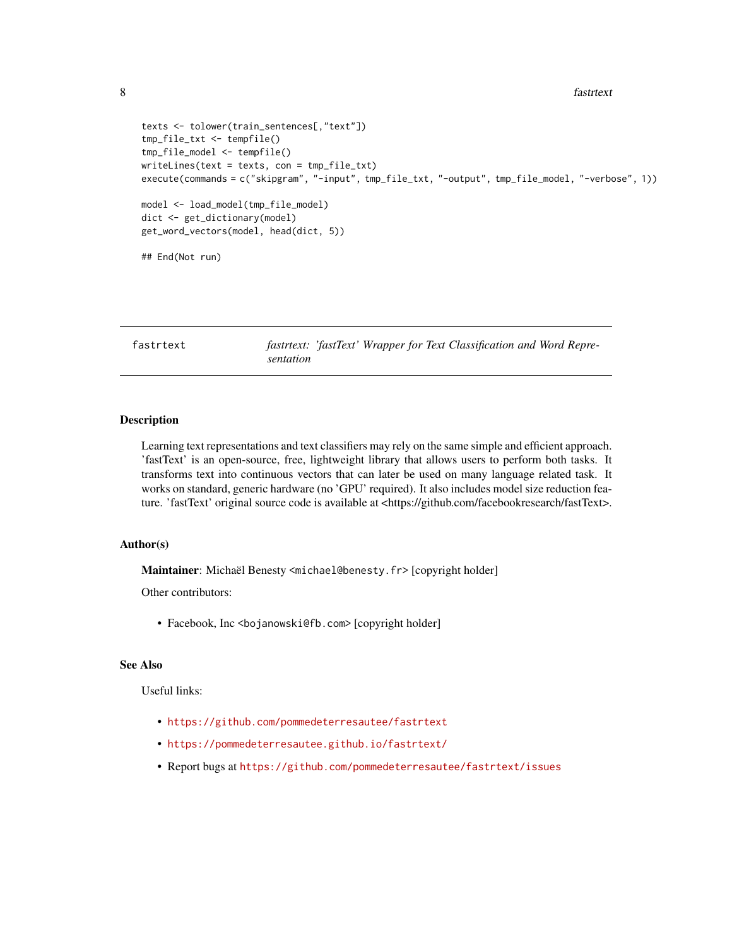```
8 fastrtext
```

```
texts <- tolower(train_sentences[,"text"])
tmp_file_txt <- tempfile()
tmp_file_model <- tempfile()
writeLines(text = texts, con = tmp_file_txt)
execute(commands = c("skipgram", "-input", tmp_file_txt, "-output", tmp_file_model, "-verbose", 1))
model <- load_model(tmp_file_model)
dict <- get_dictionary(model)
get_word_vectors(model, head(dict, 5))
## End(Not run)
```
fastrtext *fastrtext: 'fastText' Wrapper for Text Classification and Word Representation*

#### Description

Learning text representations and text classifiers may rely on the same simple and efficient approach. 'fastText' is an open-source, free, lightweight library that allows users to perform both tasks. It transforms text into continuous vectors that can later be used on many language related task. It works on standard, generic hardware (no 'GPU' required). It also includes model size reduction feature. 'fastText' original source code is available at <https://github.com/facebookresearch/fastText>.

#### Author(s)

Maintainer: Michaël Benesty <michael@benesty.fr> [copyright holder]

Other contributors:

• Facebook, Inc <bojanowski@fb.com> [copyright holder]

### See Also

Useful links:

- <https://github.com/pommedeterresautee/fastrtext>
- <https://pommedeterresautee.github.io/fastrtext/>
- Report bugs at <https://github.com/pommedeterresautee/fastrtext/issues>

<span id="page-7-0"></span>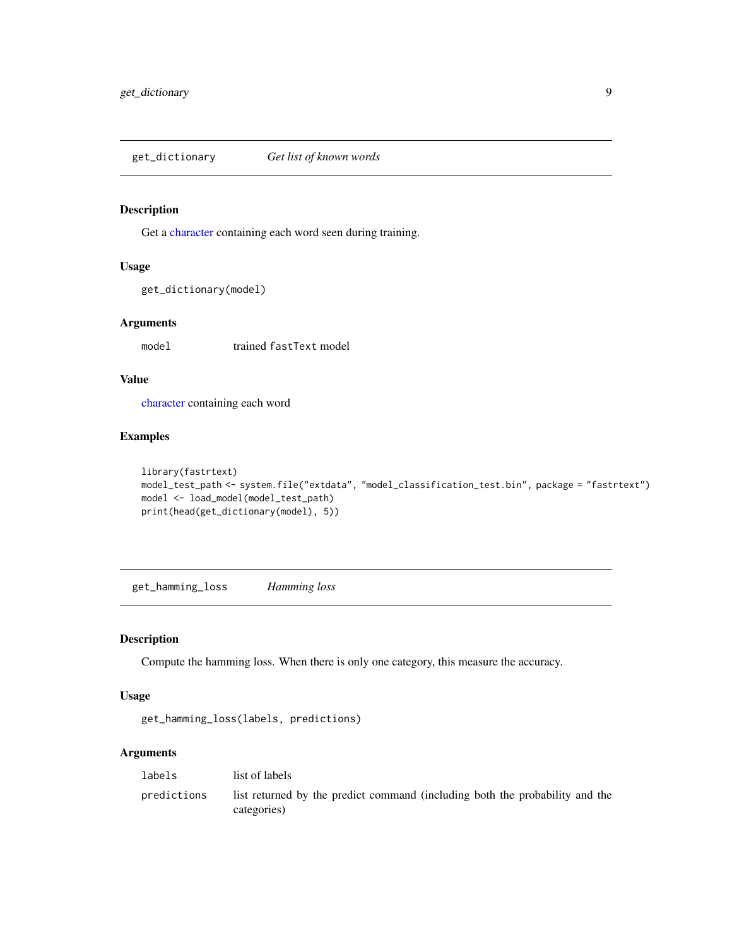<span id="page-8-0"></span>get\_dictionary *Get list of known words*

#### Description

Get a [character](#page-0-0) containing each word seen during training.

#### Usage

```
get_dictionary(model)
```
#### Arguments

model trained fastText model

#### Value

[character](#page-0-0) containing each word

#### Examples

```
library(fastrtext)
model_test_path <- system.file("extdata", "model_classification_test.bin", package = "fastrtext")
model <- load_model(model_test_path)
print(head(get_dictionary(model), 5))
```
get\_hamming\_loss *Hamming loss*

#### Description

Compute the hamming loss. When there is only one category, this measure the accuracy.

#### Usage

```
get_hamming_loss(labels, predictions)
```
#### Arguments

| labels      | list of labels                                                                              |
|-------------|---------------------------------------------------------------------------------------------|
| predictions | list returned by the predict command (including both the probability and the<br>categories) |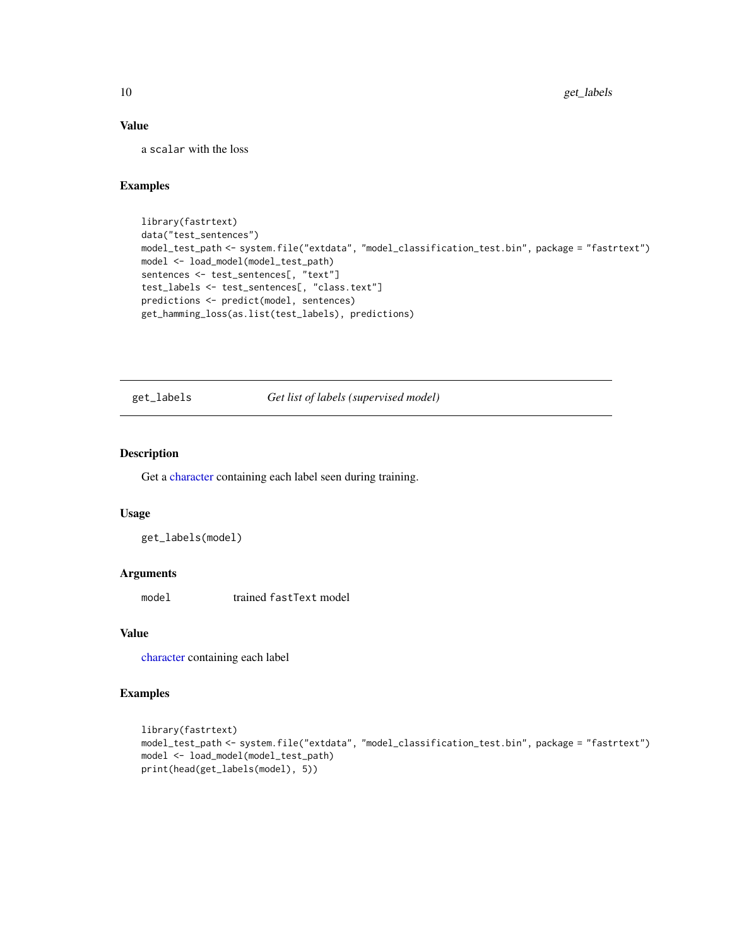#### Value

a scalar with the loss

#### Examples

```
library(fastrtext)
data("test_sentences")
model_test_path <- system.file("extdata", "model_classification_test.bin", package = "fastrtext")
model <- load_model(model_test_path)
sentences <- test_sentences[, "text"]
test_labels <- test_sentences[, "class.text"]
predictions <- predict(model, sentences)
get_hamming_loss(as.list(test_labels), predictions)
```
get\_labels *Get list of labels (supervised model)*

#### Description

Get a [character](#page-0-0) containing each label seen during training.

#### Usage

get\_labels(model)

#### Arguments

model trained fastText model

#### Value

[character](#page-0-0) containing each label

```
library(fastrtext)
model_test_path <- system.file("extdata", "model_classification_test.bin", package = "fastrtext")
model <- load_model(model_test_path)
print(head(get_labels(model), 5))
```
<span id="page-9-0"></span>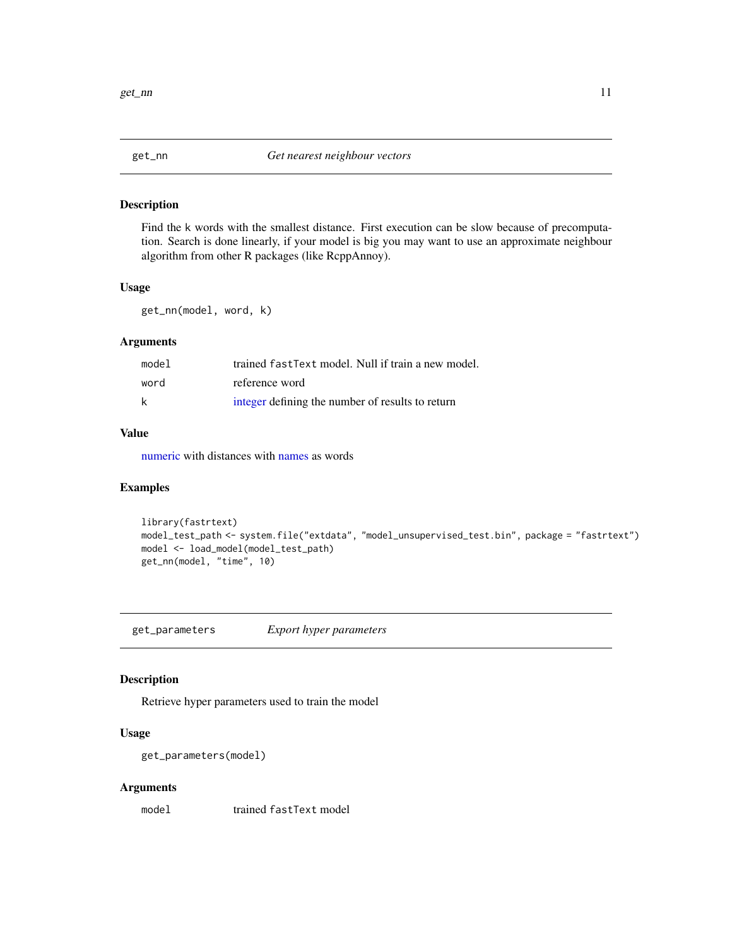<span id="page-10-0"></span>

Find the k words with the smallest distance. First execution can be slow because of precomputation. Search is done linearly, if your model is big you may want to use an approximate neighbour algorithm from other R packages (like RcppAnnoy).

#### Usage

get\_nn(model, word, k)

#### Arguments

| model | trained fast Text model. Null if train a new model. |
|-------|-----------------------------------------------------|
| word  | reference word                                      |
| k     | integer defining the number of results to return    |

#### Value

[numeric](#page-0-0) with distances with [names](#page-0-0) as words

#### Examples

```
library(fastrtext)
model_test_path <- system.file("extdata", "model_unsupervised_test.bin", package = "fastrtext")
model <- load_model(model_test_path)
get_nn(model, "time", 10)
```
get\_parameters *Export hyper parameters*

#### Description

Retrieve hyper parameters used to train the model

#### Usage

```
get_parameters(model)
```
#### Arguments

model trained fastText model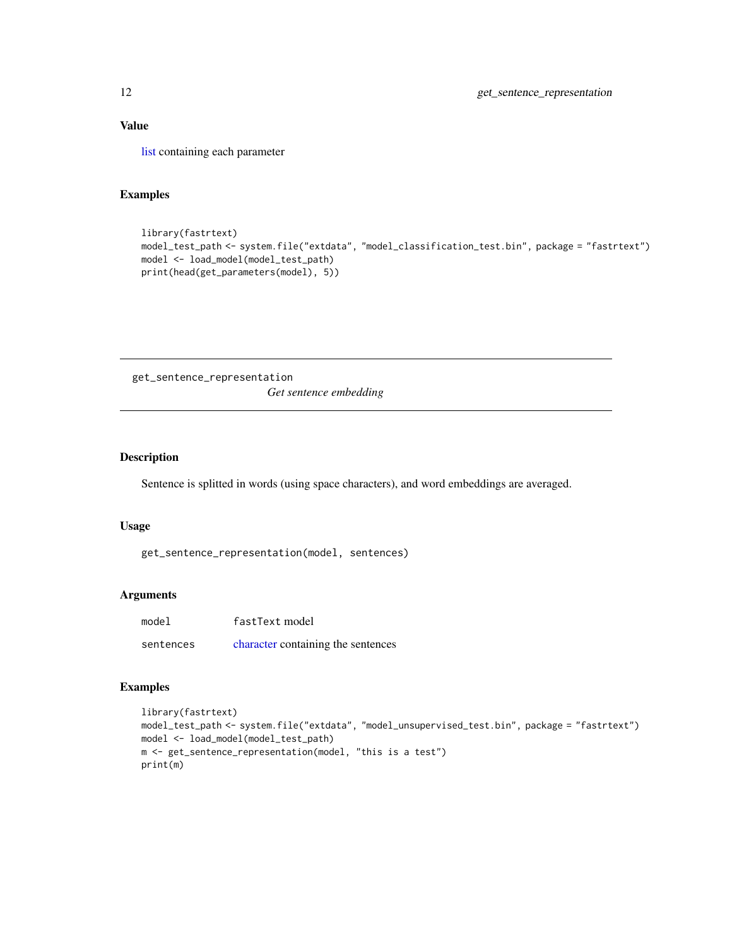#### <span id="page-11-0"></span>Value

[list](#page-0-0) containing each parameter

#### Examples

```
library(fastrtext)
model_test_path <- system.file("extdata", "model_classification_test.bin", package = "fastrtext")
model <- load_model(model_test_path)
print(head(get_parameters(model), 5))
```
get\_sentence\_representation *Get sentence embedding*

#### Description

Sentence is splitted in words (using space characters), and word embeddings are averaged.

#### Usage

```
get_sentence_representation(model, sentences)
```
#### Arguments

| model     | fastText model                     |
|-----------|------------------------------------|
| sentences | character containing the sentences |

```
library(fastrtext)
model_test_path <- system.file("extdata", "model_unsupervised_test.bin", package = "fastrtext")
model <- load_model(model_test_path)
m <- get_sentence_representation(model, "this is a test")
print(m)
```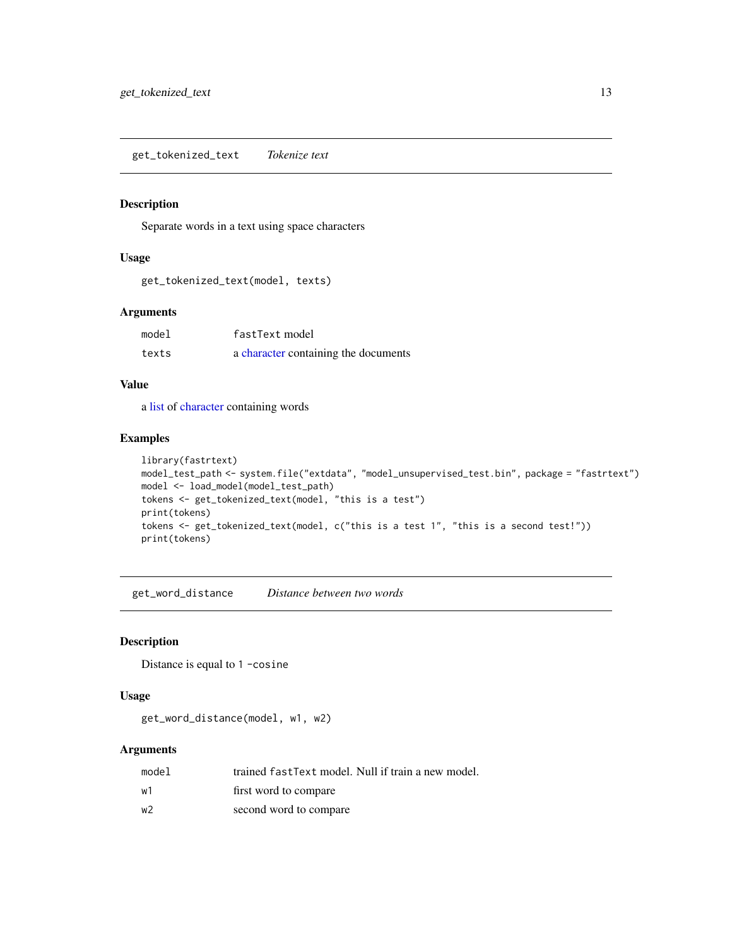<span id="page-12-0"></span>get\_tokenized\_text *Tokenize text*

#### Description

Separate words in a text using space characters

#### Usage

get\_tokenized\_text(model, texts)

#### Arguments

| model | fastText model                       |
|-------|--------------------------------------|
| texts | a character containing the documents |

#### Value

a [list](#page-0-0) of [character](#page-0-0) containing words

#### Examples

```
library(fastrtext)
model_test_path <- system.file("extdata", "model_unsupervised_test.bin", package = "fastrtext")
model <- load_model(model_test_path)
tokens <- get_tokenized_text(model, "this is a test")
print(tokens)
tokens <- get_tokenized_text(model, c("this is a test 1", "this is a second test!"))
print(tokens)
```
get\_word\_distance *Distance between two words*

#### Description

Distance is equal to 1 -cosine

#### Usage

get\_word\_distance(model, w1, w2)

#### Arguments

| model | trained fastText model. Null if train a new model. |
|-------|----------------------------------------------------|
| w1    | first word to compare                              |
| w2    | second word to compare                             |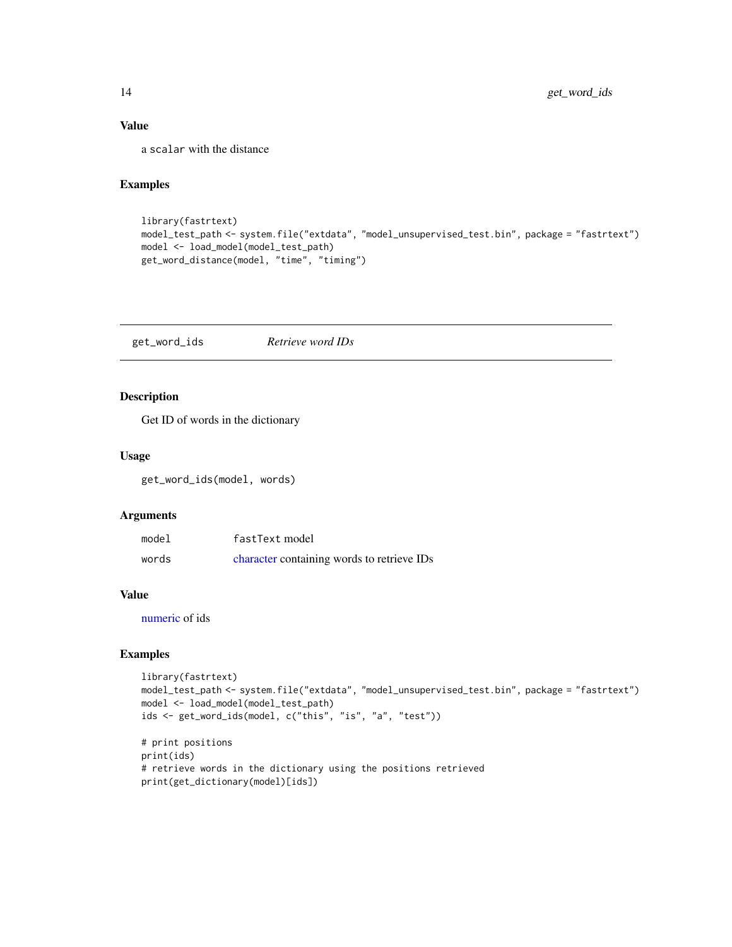#### <span id="page-13-0"></span>Value

a scalar with the distance

#### Examples

```
library(fastrtext)
model_test_path <- system.file("extdata", "model_unsupervised_test.bin", package = "fastrtext")
model <- load_model(model_test_path)
get_word_distance(model, "time", "timing")
```
get\_word\_ids *Retrieve word IDs*

#### Description

Get ID of words in the dictionary

#### Usage

get\_word\_ids(model, words)

#### Arguments

| model | fastText model                             |
|-------|--------------------------------------------|
| words | character containing words to retrieve IDs |

#### Value

[numeric](#page-0-0) of ids

```
library(fastrtext)
model_test_path <- system.file("extdata", "model_unsupervised_test.bin", package = "fastrtext")
model <- load_model(model_test_path)
ids <- get_word_ids(model, c("this", "is", "a", "test"))
# print positions
print(ids)
# retrieve words in the dictionary using the positions retrieved
print(get_dictionary(model)[ids])
```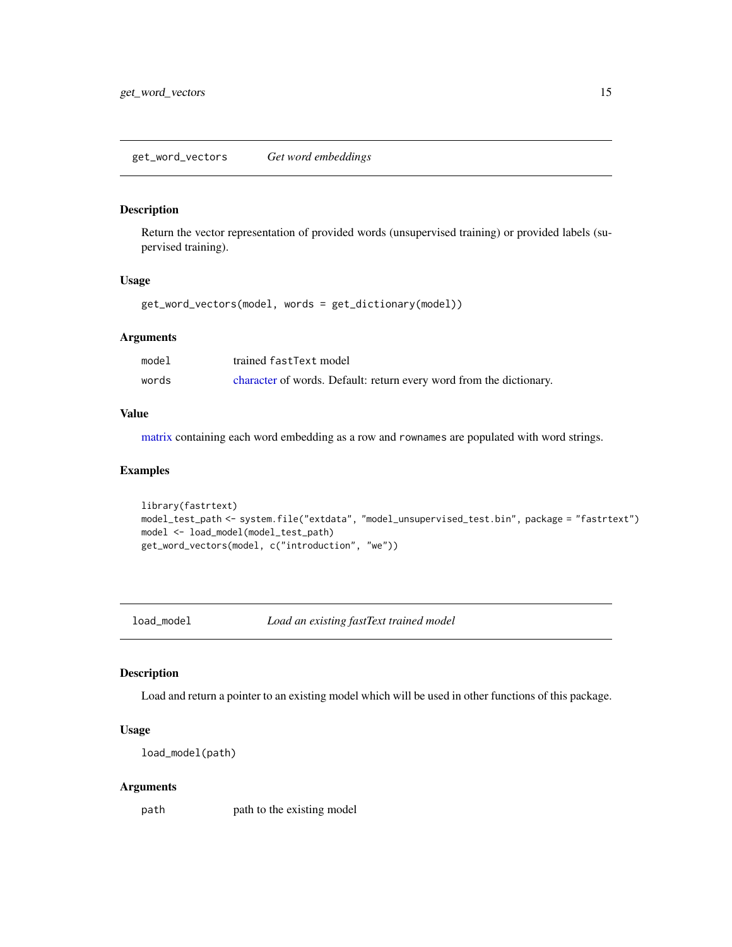<span id="page-14-0"></span>Return the vector representation of provided words (unsupervised training) or provided labels (supervised training).

#### Usage

get\_word\_vectors(model, words = get\_dictionary(model))

#### Arguments

| model | trained fastText model                                              |
|-------|---------------------------------------------------------------------|
| words | character of words. Default: return every word from the dictionary. |

#### Value

[matrix](#page-0-0) containing each word embedding as a row and rownames are populated with word strings.

#### Examples

```
library(fastrtext)
model_test_path <- system.file("extdata", "model_unsupervised_test.bin", package = "fastrtext")
model <- load_model(model_test_path)
get_word_vectors(model, c("introduction", "we"))
```
load\_model *Load an existing fastText trained model*

#### Description

Load and return a pointer to an existing model which will be used in other functions of this package.

#### Usage

```
load_model(path)
```
#### Arguments

path path to the existing model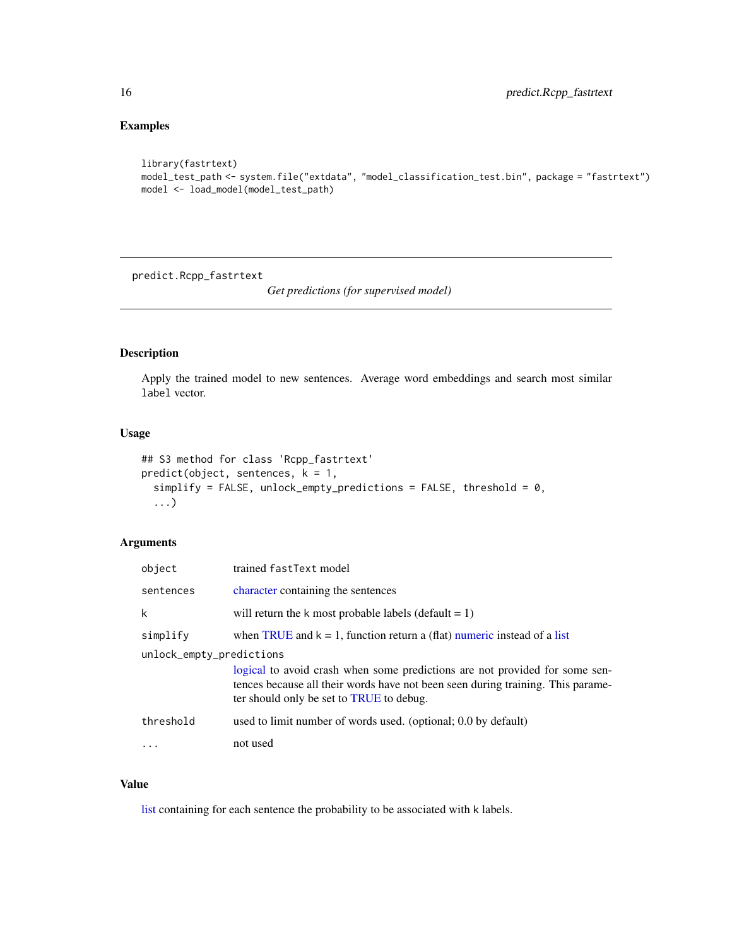#### <span id="page-15-0"></span>Examples

```
library(fastrtext)
model_test_path <- system.file("extdata", "model_classification_test.bin", package = "fastrtext")
model <- load_model(model_test_path)
```
predict.Rcpp\_fastrtext

*Get predictions (for supervised model)*

#### Description

Apply the trained model to new sentences. Average word embeddings and search most similar label vector.

#### Usage

```
## S3 method for class 'Rcpp_fastrtext'
predict(object, sentences, k = 1,simplify = FALSE, unlock_empty_predictions = FALSE, threshold = 0,
  ...)
```
#### Arguments

| object                   | trained fastText model                                                                                                                                                                                     |
|--------------------------|------------------------------------------------------------------------------------------------------------------------------------------------------------------------------------------------------------|
| sentences                | character containing the sentences                                                                                                                                                                         |
| k                        | will return the k most probable labels (default $= 1$ )                                                                                                                                                    |
| simplify                 | when TRUE and $k = 1$ , function return a (flat) numeric instead of a list                                                                                                                                 |
| unlock_empty_predictions |                                                                                                                                                                                                            |
|                          | logical to avoid crash when some predictions are not provided for some sen-<br>tences because all their words have not been seen during training. This parame-<br>ter should only be set to TRUE to debug. |
| threshold                | used to limit number of words used. (optional; 0.0 by default)                                                                                                                                             |
| $\ddots$                 | not used                                                                                                                                                                                                   |

#### Value

[list](#page-0-0) containing for each sentence the probability to be associated with k labels.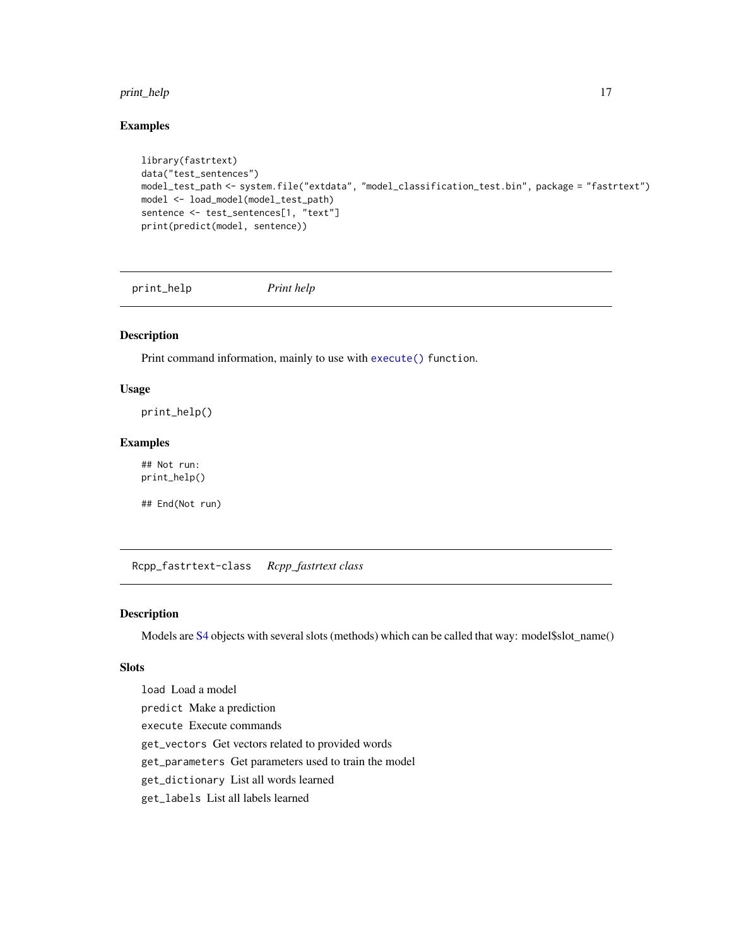#### <span id="page-16-0"></span>print\_help 17

#### Examples

```
library(fastrtext)
data("test_sentences")
model_test_path <- system.file("extdata", "model_classification_test.bin", package = "fastrtext")
model <- load_model(model_test_path)
sentence <- test_sentences[1, "text"]
print(predict(model, sentence))
```
print\_help *Print help*

#### Description

Print command information, mainly to use with [execute\(\)](#page-6-1) function.

#### Usage

print\_help()

#### Examples

## Not run: print\_help()

## End(Not run)

Rcpp\_fastrtext-class *Rcpp\_fastrtext class*

#### Description

Models are [S4](#page-0-0) objects with several slots (methods) which can be called that way: model\$slot\_name()

#### **Slots**

load Load a model predict Make a prediction execute Execute commands get\_vectors Get vectors related to provided words get\_parameters Get parameters used to train the model get\_dictionary List all words learned get\_labels List all labels learned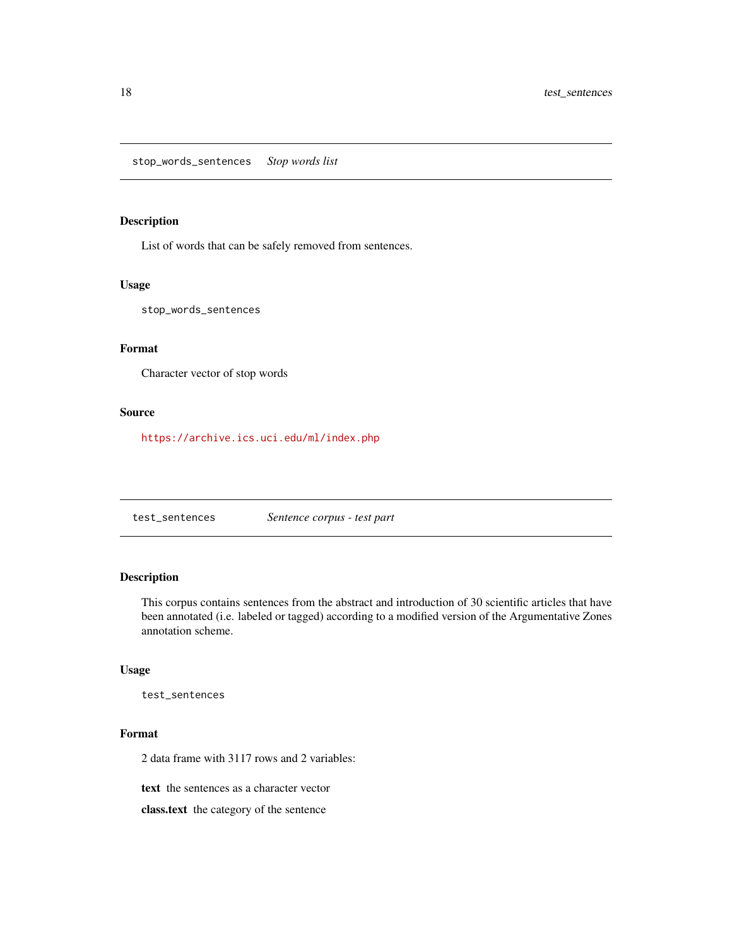<span id="page-17-0"></span>List of words that can be safely removed from sentences.

#### Usage

stop\_words\_sentences

#### Format

Character vector of stop words

#### Source

<https://archive.ics.uci.edu/ml/index.php>

test\_sentences *Sentence corpus - test part*

#### Description

This corpus contains sentences from the abstract and introduction of 30 scientific articles that have been annotated (i.e. labeled or tagged) according to a modified version of the Argumentative Zones annotation scheme.

#### Usage

test\_sentences

#### Format

2 data frame with 3117 rows and 2 variables:

text the sentences as a character vector

class.text the category of the sentence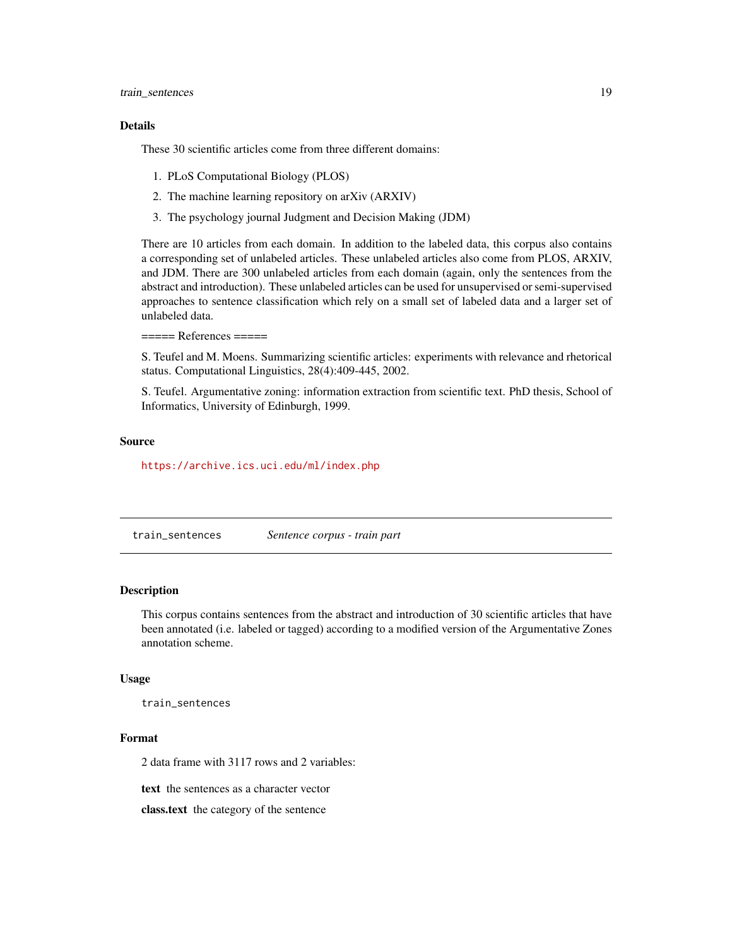#### <span id="page-18-0"></span>Details

These 30 scientific articles come from three different domains:

- 1. PLoS Computational Biology (PLOS)
- 2. The machine learning repository on arXiv (ARXIV)
- 3. The psychology journal Judgment and Decision Making (JDM)

There are 10 articles from each domain. In addition to the labeled data, this corpus also contains a corresponding set of unlabeled articles. These unlabeled articles also come from PLOS, ARXIV, and JDM. There are 300 unlabeled articles from each domain (again, only the sentences from the abstract and introduction). These unlabeled articles can be used for unsupervised or semi-supervised approaches to sentence classification which rely on a small set of labeled data and a larger set of unlabeled data.

 $====$  References  $====$ 

S. Teufel and M. Moens. Summarizing scientific articles: experiments with relevance and rhetorical status. Computational Linguistics, 28(4):409-445, 2002.

S. Teufel. Argumentative zoning: information extraction from scientific text. PhD thesis, School of Informatics, University of Edinburgh, 1999.

#### Source

<https://archive.ics.uci.edu/ml/index.php>

train\_sentences *Sentence corpus - train part*

#### **Description**

This corpus contains sentences from the abstract and introduction of 30 scientific articles that have been annotated (i.e. labeled or tagged) according to a modified version of the Argumentative Zones annotation scheme.

#### Usage

train\_sentences

#### Format

2 data frame with 3117 rows and 2 variables:

text the sentences as a character vector

class.text the category of the sentence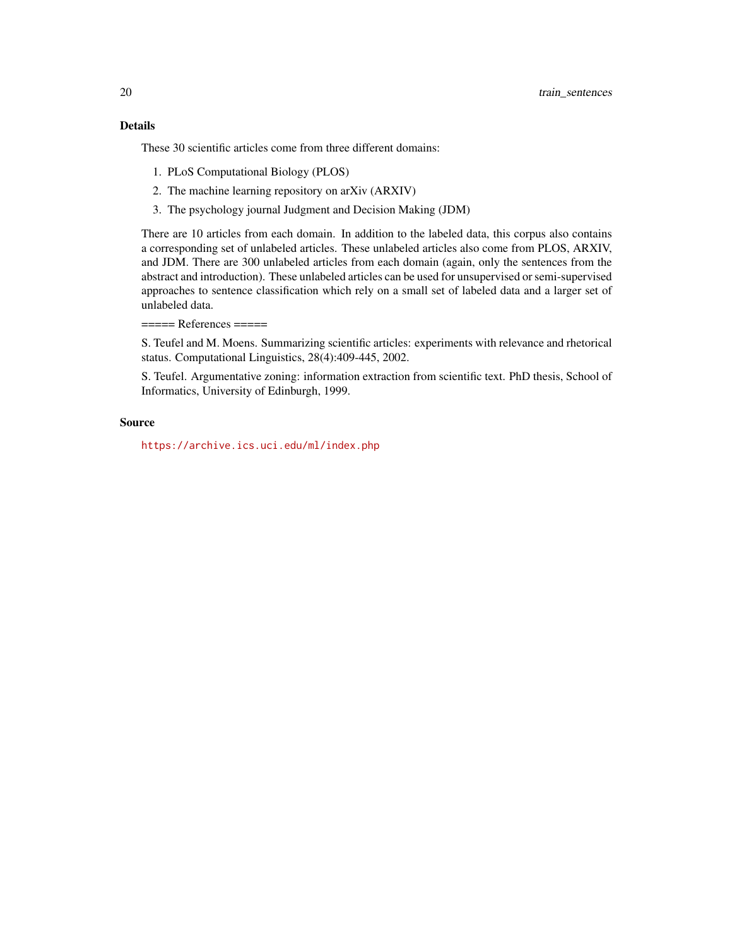These 30 scientific articles come from three different domains:

- 1. PLoS Computational Biology (PLOS)
- 2. The machine learning repository on arXiv (ARXIV)
- 3. The psychology journal Judgment and Decision Making (JDM)

There are 10 articles from each domain. In addition to the labeled data, this corpus also contains a corresponding set of unlabeled articles. These unlabeled articles also come from PLOS, ARXIV, and JDM. There are 300 unlabeled articles from each domain (again, only the sentences from the abstract and introduction). These unlabeled articles can be used for unsupervised or semi-supervised approaches to sentence classification which rely on a small set of labeled data and a larger set of unlabeled data.

 $====$  References  $====$ 

S. Teufel and M. Moens. Summarizing scientific articles: experiments with relevance and rhetorical status. Computational Linguistics, 28(4):409-445, 2002.

S. Teufel. Argumentative zoning: information extraction from scientific text. PhD thesis, School of Informatics, University of Edinburgh, 1999.

#### Source

<https://archive.ics.uci.edu/ml/index.php>